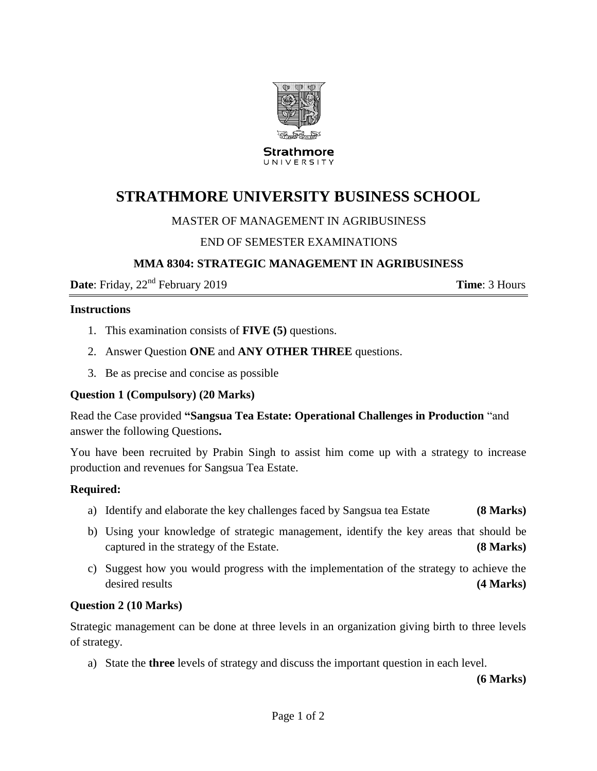

Strathmore UNIVERSITY

# **STRATHMORE UNIVERSITY BUSINESS SCHOOL**

## MASTER OF MANAGEMENT IN AGRIBUSINESS

# END OF SEMESTER EXAMINATIONS

## **MMA 8304: STRATEGIC MANAGEMENT IN AGRIBUSINESS**

**Date**: Friday,  $22^{nd}$  February 2019 **Time**: 3 Hours

#### **Instructions**

- 1. This examination consists of **FIVE (5)** questions.
- 2. Answer Question **ONE** and **ANY OTHER THREE** questions.
- 3. Be as precise and concise as possible

## **Question 1 (Compulsory) (20 Marks)**

Read the Case provided **"Sangsua Tea Estate: Operational Challenges in Production** "and answer the following Questions**.**

You have been recruited by Prabin Singh to assist him come up with a strategy to increase production and revenues for Sangsua Tea Estate.

## **Required:**

- a) Identify and elaborate the key challenges faced by Sangsua tea Estate **(8 Marks)**
- b) Using your knowledge of strategic management, identify the key areas that should be captured in the strategy of the Estate. **(8 Marks)**
- c) Suggest how you would progress with the implementation of the strategy to achieve the desired results **(4 Marks)**

## **Question 2 (10 Marks)**

Strategic management can be done at three levels in an organization giving birth to three levels of strategy.

a) State the **three** levels of strategy and discuss the important question in each level.

 **(6 Marks)**